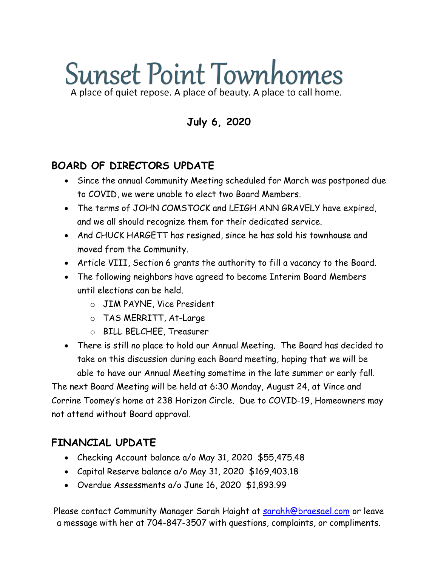# **Sunset Point Townhomes** A place of quiet repose. A place of beauty. A place to call home.

**July 6, 2020**

## **BOARD OF DIRECTORS UPDATE**

- Since the annual Community Meeting scheduled for March was postponed due to COVID, we were unable to elect two Board Members.
- The terms of JOHN COMSTOCK and LEIGH ANN GRAVELY have expired, and we all should recognize them for their dedicated service.
- And CHUCK HARGETT has resigned, since he has sold his townhouse and moved from the Community.
- Article VIII, Section 6 grants the authority to fill a vacancy to the Board.
- The following neighbors have agreed to become Interim Board Members until elections can be held.
	- o JIM PAYNE, Vice President
	- o TAS MERRITT, At-Large
	- o BILL BELCHEE, Treasurer
- There is still no place to hold our Annual Meeting. The Board has decided to take on this discussion during each Board meeting, hoping that we will be able to have our Annual Meeting sometime in the late summer or early fall.

The next Board Meeting will be held at 6:30 Monday, August 24, at Vince and Corrine Toomey's home at 238 Horizon Circle. Due to COVID-19, Homeowners may not attend without Board approval.

#### **FINANCIAL UPDATE**

- Checking Account balance a/o May 31, 2020 \$55,475.48
- Capital Reserve balance a/o May 31, 2020 \$169,403.18
- Overdue Assessments a/o June 16, 2020 \$1,893.99

Please contact Community Manager Sarah Haight at [sarahh@braesael.com](mailto:sarahh@braesael.com) or leave a message with her at 704-847-3507 with questions, complaints, or compliments.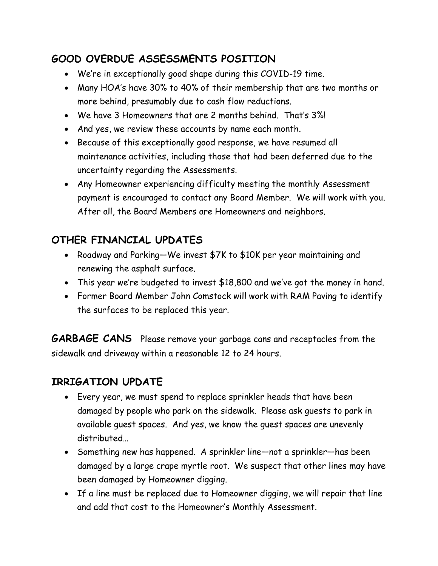## **GOOD OVERDUE ASSESSMENTS POSITION**

- We're in exceptionally good shape during this COVID-19 time.
- Many HOA's have 30% to 40% of their membership that are two months or more behind, presumably due to cash flow reductions.
- We have 3 Homeowners that are 2 months behind. That's 3%!
- And yes, we review these accounts by name each month.
- Because of this exceptionally good response, we have resumed all maintenance activities, including those that had been deferred due to the uncertainty regarding the Assessments.
- Any Homeowner experiencing difficulty meeting the monthly Assessment payment is encouraged to contact any Board Member. We will work with you. After all, the Board Members are Homeowners and neighbors.

# **OTHER FINANCIAL UPDATES**

- Roadway and Parking—We invest \$7K to \$10K per year maintaining and renewing the asphalt surface.
- This year we're budgeted to invest \$18,800 and we've got the money in hand.
- Former Board Member John Comstock will work with RAM Paving to identify the surfaces to be replaced this year.

**GARBAGE CANS** Please remove your garbage cans and receptacles from the sidewalk and driveway within a reasonable 12 to 24 hours.

## **IRRIGATION UPDATE**

- Every year, we must spend to replace sprinkler heads that have been damaged by people who park on the sidewalk. Please ask guests to park in available guest spaces. And yes, we know the guest spaces are unevenly distributed…
- Something new has happened. A sprinkler line—not a sprinkler—has been damaged by a large crape myrtle root. We suspect that other lines may have been damaged by Homeowner digging.
- If a line must be replaced due to Homeowner digging, we will repair that line and add that cost to the Homeowner's Monthly Assessment.